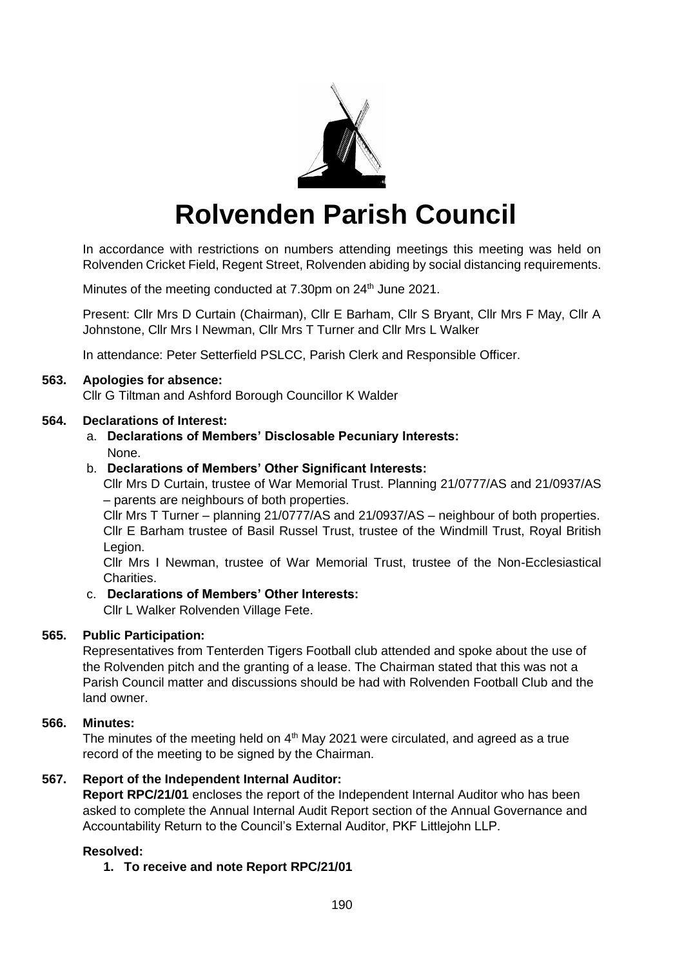

# **Rolvenden Parish Council**

In accordance with restrictions on numbers attending meetings this meeting was held on Rolvenden Cricket Field, Regent Street, Rolvenden abiding by social distancing requirements.

Minutes of the meeting conducted at 7.30pm on 24<sup>th</sup> June 2021.

Present: Cllr Mrs D Curtain (Chairman), Cllr E Barham, Cllr S Bryant, Cllr Mrs F May, Cllr A Johnstone, Cllr Mrs I Newman, Cllr Mrs T Turner and Cllr Mrs L Walker

In attendance: Peter Setterfield PSLCC, Parish Clerk and Responsible Officer.

## **563. Apologies for absence:**

Cllr G Tiltman and Ashford Borough Councillor K Walder

## **564. Declarations of Interest:**

a. **Declarations of Members' Disclosable Pecuniary Interests:** None.

## b. **Declarations of Members' Other Significant Interests:**

Cllr Mrs D Curtain, trustee of War Memorial Trust. Planning 21/0777/AS and 21/0937/AS – parents are neighbours of both properties.

Cllr Mrs T Turner – planning 21/0777/AS and 21/0937/AS – neighbour of both properties. Cllr E Barham trustee of Basil Russel Trust, trustee of the Windmill Trust, Royal British Legion.

Cllr Mrs I Newman, trustee of War Memorial Trust, trustee of the Non-Ecclesiastical Charities.

#### c. **Declarations of Members' Other Interests:**

Cllr L Walker Rolvenden Village Fete.

# **565. Public Participation:**

Representatives from Tenterden Tigers Football club attended and spoke about the use of the Rolvenden pitch and the granting of a lease. The Chairman stated that this was not a Parish Council matter and discussions should be had with Rolvenden Football Club and the land owner.

# **566. Minutes:**

The minutes of the meeting held on  $4<sup>th</sup>$  May 2021 were circulated, and agreed as a true record of the meeting to be signed by the Chairman.

# **567. Report of the Independent Internal Auditor:**

**Report RPC/21/01** encloses the report of the Independent Internal Auditor who has been asked to complete the Annual Internal Audit Report section of the Annual Governance and Accountability Return to the Council's External Auditor, PKF Littlejohn LLP.

# **Resolved:**

# **1. To receive and note Report RPC/21/01**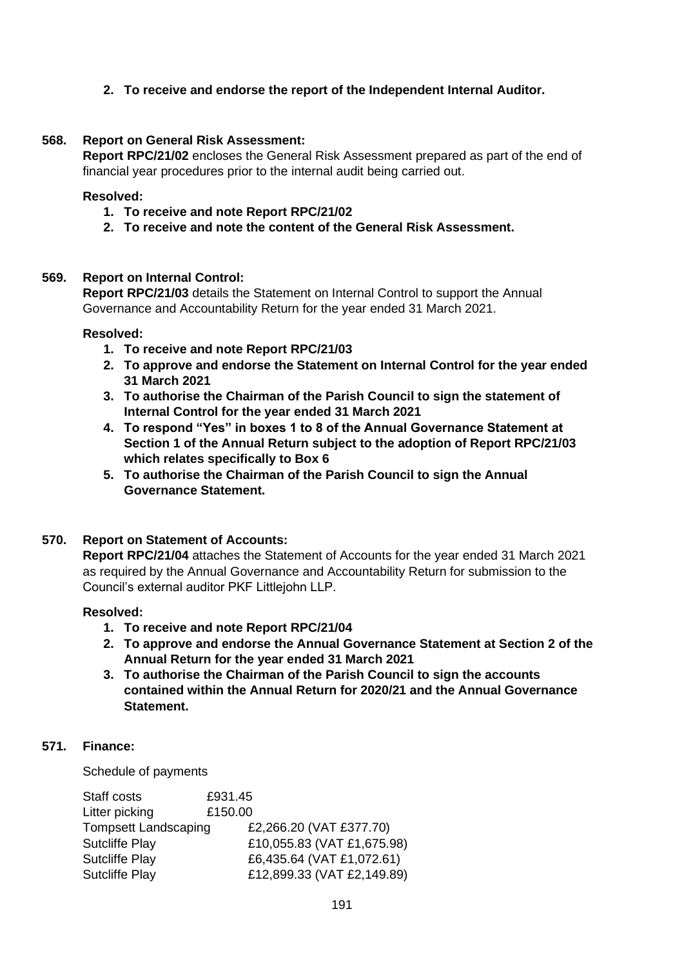## **2. To receive and endorse the report of the Independent Internal Auditor.**

#### **568. Report on General Risk Assessment:**

**Report RPC/21/02** encloses the General Risk Assessment prepared as part of the end of financial year procedures prior to the internal audit being carried out.

#### **Resolved:**

- **1. To receive and note Report RPC/21/02**
- **2. To receive and note the content of the General Risk Assessment.**

#### **569. Report on Internal Control:**

**Report RPC/21/03** details the Statement on Internal Control to support the Annual Governance and Accountability Return for the year ended 31 March 2021.

#### **Resolved:**

- **1. To receive and note Report RPC/21/03**
- **2. To approve and endorse the Statement on Internal Control for the year ended 31 March 2021**
- **3. To authorise the Chairman of the Parish Council to sign the statement of Internal Control for the year ended 31 March 2021**
- **4. To respond "Yes" in boxes 1 to 8 of the Annual Governance Statement at Section 1 of the Annual Return subject to the adoption of Report RPC/21/03 which relates specifically to Box 6**
- **5. To authorise the Chairman of the Parish Council to sign the Annual Governance Statement.**

#### **570. Report on Statement of Accounts:**

**Report RPC/21/04** attaches the Statement of Accounts for the year ended 31 March 2021 as required by the Annual Governance and Accountability Return for submission to the Council's external auditor PKF Littlejohn LLP.

#### **Resolved:**

- **1. To receive and note Report RPC/21/04**
- **2. To approve and endorse the Annual Governance Statement at Section 2 of the Annual Return for the year ended 31 March 2021**
- **3. To authorise the Chairman of the Parish Council to sign the accounts contained within the Annual Return for 2020/21 and the Annual Governance Statement.**

#### **571. Finance:**

Schedule of payments

| Staff costs                 | £931.45                    |
|-----------------------------|----------------------------|
| Litter picking              | £150.00                    |
| <b>Tompsett Landscaping</b> | £2,266.20 (VAT £377.70)    |
| <b>Sutcliffe Play</b>       | £10,055.83 (VAT £1,675.98) |
| <b>Sutcliffe Play</b>       | £6,435.64 (VAT £1,072.61)  |
| <b>Sutcliffe Play</b>       | £12,899.33 (VAT £2,149.89) |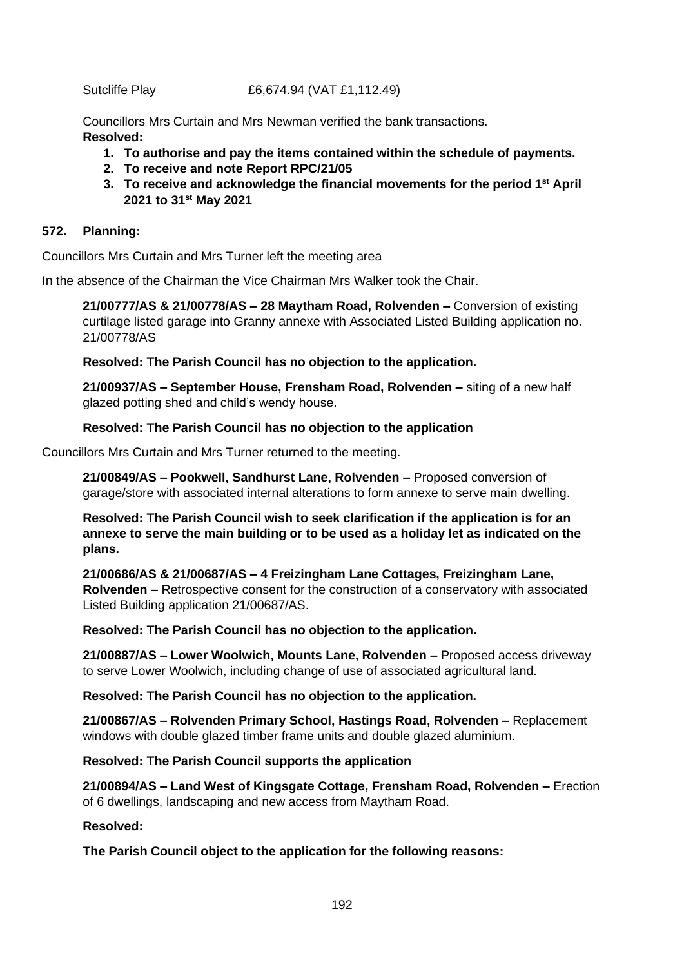#### Sutcliffe Play £6,674.94 (VAT £1,112.49)

Councillors Mrs Curtain and Mrs Newman verified the bank transactions. **Resolved:**

- **1. To authorise and pay the items contained within the schedule of payments.**
- **2. To receive and note Report RPC/21/05**
- **3. To receive and acknowledge the financial movements for the period 1st April 2021 to 31st May 2021**

## **572. Planning:**

Councillors Mrs Curtain and Mrs Turner left the meeting area

In the absence of the Chairman the Vice Chairman Mrs Walker took the Chair.

**21/00777/AS & 21/00778/AS – 28 Maytham Road, Rolvenden –** Conversion of existing curtilage listed garage into Granny annexe with Associated Listed Building application no. 21/00778/AS

**Resolved: The Parish Council has no objection to the application.**

**21/00937/AS – September House, Frensham Road, Rolvenden –** siting of a new half glazed potting shed and child's wendy house.

## **Resolved: The Parish Council has no objection to the application**

Councillors Mrs Curtain and Mrs Turner returned to the meeting.

**21/00849/AS – Pookwell, Sandhurst Lane, Rolvenden –** Proposed conversion of garage/store with associated internal alterations to form annexe to serve main dwelling.

**Resolved: The Parish Council wish to seek clarification if the application is for an annexe to serve the main building or to be used as a holiday let as indicated on the plans.** 

**21/00686/AS & 21/00687/AS – 4 Freizingham Lane Cottages, Freizingham Lane, Rolvenden –** Retrospective consent for the construction of a conservatory with associated Listed Building application 21/00687/AS.

#### **Resolved: The Parish Council has no objection to the application.**

**21/00887/AS – Lower Woolwich, Mounts Lane, Rolvenden –** Proposed access driveway to serve Lower Woolwich, including change of use of associated agricultural land.

**Resolved: The Parish Council has no objection to the application.**

**21/00867/AS – Rolvenden Primary School, Hastings Road, Rolvenden –** Replacement windows with double glazed timber frame units and double glazed aluminium.

#### **Resolved: The Parish Council supports the application**

**21/00894/AS – Land West of Kingsgate Cottage, Frensham Road, Rolvenden –** Erection of 6 dwellings, landscaping and new access from Maytham Road.

#### **Resolved:**

**The Parish Council object to the application for the following reasons:**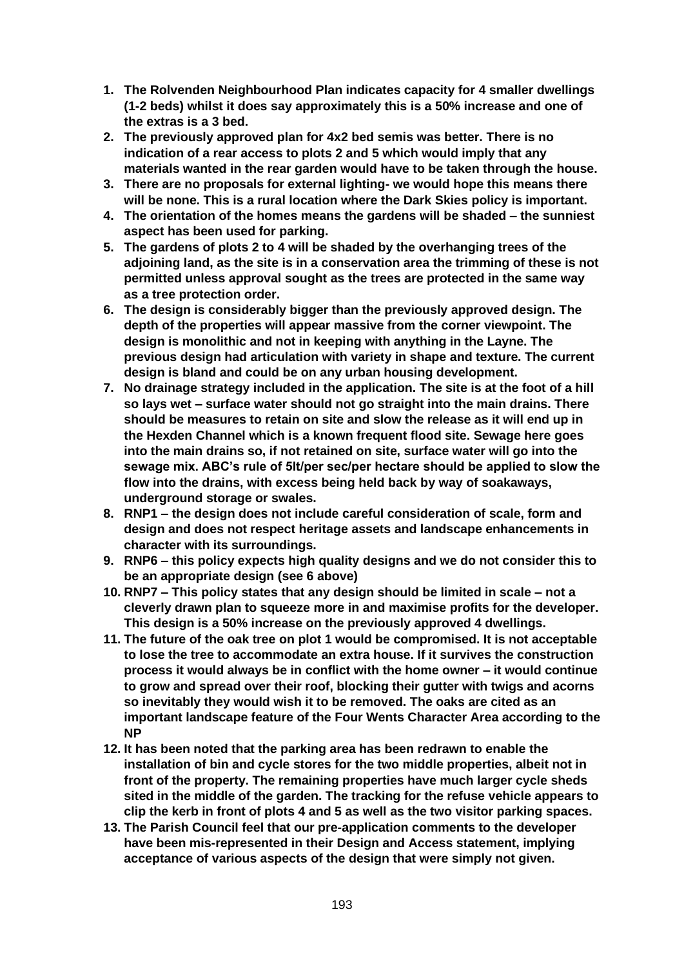- **1. The Rolvenden Neighbourhood Plan indicates capacity for 4 smaller dwellings (1-2 beds) whilst it does say approximately this is a 50% increase and one of the extras is a 3 bed.**
- **2. The previously approved plan for 4x2 bed semis was better. There is no indication of a rear access to plots 2 and 5 which would imply that any materials wanted in the rear garden would have to be taken through the house.**
- **3. There are no proposals for external lighting- we would hope this means there will be none. This is a rural location where the Dark Skies policy is important.**
- **4. The orientation of the homes means the gardens will be shaded – the sunniest aspect has been used for parking.**
- **5. The gardens of plots 2 to 4 will be shaded by the overhanging trees of the adjoining land, as the site is in a conservation area the trimming of these is not permitted unless approval sought as the trees are protected in the same way as a tree protection order.**
- **6. The design is considerably bigger than the previously approved design. The depth of the properties will appear massive from the corner viewpoint. The design is monolithic and not in keeping with anything in the Layne. The previous design had articulation with variety in shape and texture. The current design is bland and could be on any urban housing development.**
- **7. No drainage strategy included in the application. The site is at the foot of a hill so lays wet – surface water should not go straight into the main drains. There should be measures to retain on site and slow the release as it will end up in the Hexden Channel which is a known frequent flood site. Sewage here goes into the main drains so, if not retained on site, surface water will go into the sewage mix. ABC's rule of 5lt/per sec/per hectare should be applied to slow the flow into the drains, with excess being held back by way of soakaways, underground storage or swales.**
- **8. RNP1 – the design does not include careful consideration of scale, form and design and does not respect heritage assets and landscape enhancements in character with its surroundings.**
- **9. RNP6 – this policy expects high quality designs and we do not consider this to be an appropriate design (see 6 above)**
- **10. RNP7 – This policy states that any design should be limited in scale – not a cleverly drawn plan to squeeze more in and maximise profits for the developer. This design is a 50% increase on the previously approved 4 dwellings.**
- **11. The future of the oak tree on plot 1 would be compromised. It is not acceptable to lose the tree to accommodate an extra house. If it survives the construction process it would always be in conflict with the home owner – it would continue to grow and spread over their roof, blocking their gutter with twigs and acorns so inevitably they would wish it to be removed. The oaks are cited as an important landscape feature of the Four Wents Character Area according to the NP**
- **12. It has been noted that the parking area has been redrawn to enable the installation of bin and cycle stores for the two middle properties, albeit not in front of the property. The remaining properties have much larger cycle sheds sited in the middle of the garden. The tracking for the refuse vehicle appears to clip the kerb in front of plots 4 and 5 as well as the two visitor parking spaces.**
- **13. The Parish Council feel that our pre-application comments to the developer have been mis-represented in their Design and Access statement, implying acceptance of various aspects of the design that were simply not given.**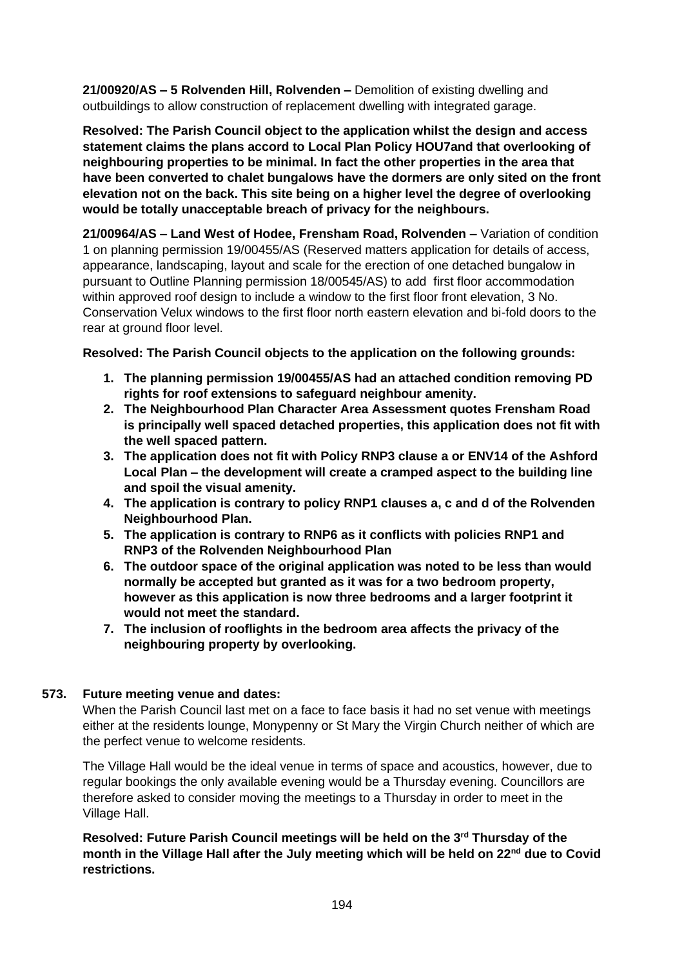**21/00920/AS – 5 Rolvenden Hill, Rolvenden –** Demolition of existing dwelling and outbuildings to allow construction of replacement dwelling with integrated garage.

**Resolved: The Parish Council object to the application whilst the design and access statement claims the plans accord to Local Plan Policy HOU7and that overlooking of neighbouring properties to be minimal. In fact the other properties in the area that have been converted to chalet bungalows have the dormers are only sited on the front elevation not on the back. This site being on a higher level the degree of overlooking would be totally unacceptable breach of privacy for the neighbours.**

**21/00964/AS – Land West of Hodee, Frensham Road, Rolvenden –** Variation of condition 1 on planning permission 19/00455/AS (Reserved matters application for details of access, appearance, landscaping, layout and scale for the erection of one detached bungalow in pursuant to Outline Planning permission 18/00545/AS) to add first floor accommodation within approved roof design to include a window to the first floor front elevation, 3 No. Conservation Velux windows to the first floor north eastern elevation and bi-fold doors to the rear at ground floor level.

# **Resolved: The Parish Council objects to the application on the following grounds:**

- **1. The planning permission 19/00455/AS had an attached condition removing PD rights for roof extensions to safeguard neighbour amenity.**
- **2. The Neighbourhood Plan Character Area Assessment quotes Frensham Road is principally well spaced detached properties, this application does not fit with the well spaced pattern.**
- **3. The application does not fit with Policy RNP3 clause a or ENV14 of the Ashford Local Plan – the development will create a cramped aspect to the building line and spoil the visual amenity.**
- **4. The application is contrary to policy RNP1 clauses a, c and d of the Rolvenden Neighbourhood Plan.**
- **5. The application is contrary to RNP6 as it conflicts with policies RNP1 and RNP3 of the Rolvenden Neighbourhood Plan**
- **6. The outdoor space of the original application was noted to be less than would normally be accepted but granted as it was for a two bedroom property, however as this application is now three bedrooms and a larger footprint it would not meet the standard.**
- **7. The inclusion of rooflights in the bedroom area affects the privacy of the neighbouring property by overlooking.**

# **573. Future meeting venue and dates:**

When the Parish Council last met on a face to face basis it had no set venue with meetings either at the residents lounge, Monypenny or St Mary the Virgin Church neither of which are the perfect venue to welcome residents.

The Village Hall would be the ideal venue in terms of space and acoustics, however, due to regular bookings the only available evening would be a Thursday evening. Councillors are therefore asked to consider moving the meetings to a Thursday in order to meet in the Village Hall.

# **Resolved: Future Parish Council meetings will be held on the 3rd Thursday of the month in the Village Hall after the July meeting which will be held on 22nd due to Covid restrictions.**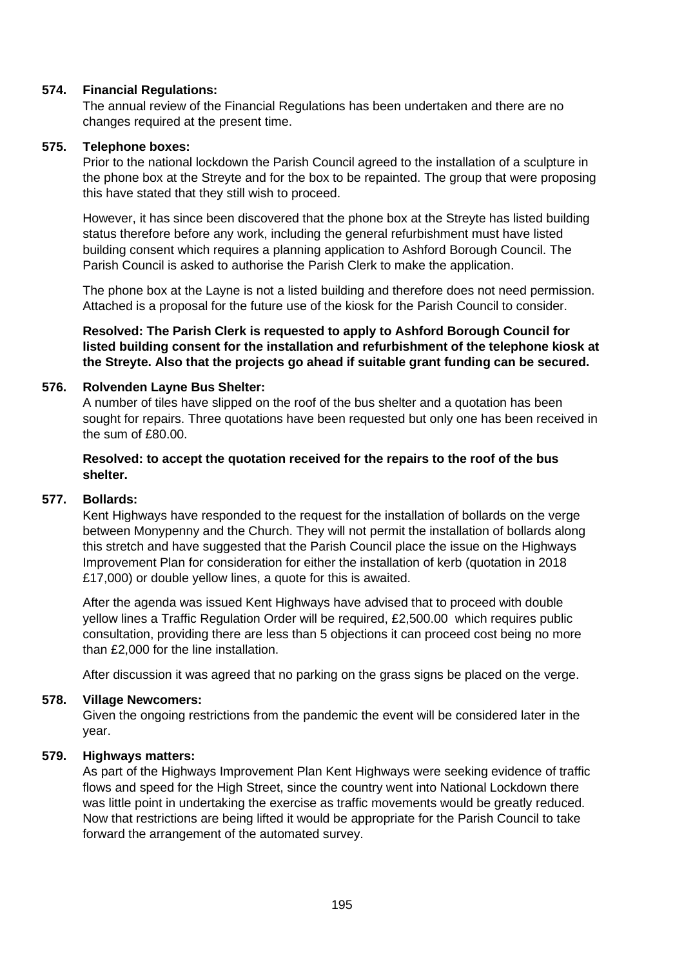#### **574. Financial Regulations:**

The annual review of the Financial Regulations has been undertaken and there are no changes required at the present time.

#### **575. Telephone boxes:**

Prior to the national lockdown the Parish Council agreed to the installation of a sculpture in the phone box at the Streyte and for the box to be repainted. The group that were proposing this have stated that they still wish to proceed.

However, it has since been discovered that the phone box at the Streyte has listed building status therefore before any work, including the general refurbishment must have listed building consent which requires a planning application to Ashford Borough Council. The Parish Council is asked to authorise the Parish Clerk to make the application.

The phone box at the Layne is not a listed building and therefore does not need permission. Attached is a proposal for the future use of the kiosk for the Parish Council to consider.

**Resolved: The Parish Clerk is requested to apply to Ashford Borough Council for listed building consent for the installation and refurbishment of the telephone kiosk at the Streyte. Also that the projects go ahead if suitable grant funding can be secured.**

#### **576. Rolvenden Layne Bus Shelter:**

A number of tiles have slipped on the roof of the bus shelter and a quotation has been sought for repairs. Three quotations have been requested but only one has been received in the sum of £80.00.

#### **Resolved: to accept the quotation received for the repairs to the roof of the bus shelter.**

#### **577. Bollards:**

Kent Highways have responded to the request for the installation of bollards on the verge between Monypenny and the Church. They will not permit the installation of bollards along this stretch and have suggested that the Parish Council place the issue on the Highways Improvement Plan for consideration for either the installation of kerb (quotation in 2018 £17,000) or double yellow lines, a quote for this is awaited.

After the agenda was issued Kent Highways have advised that to proceed with double yellow lines a Traffic Regulation Order will be required, £2,500.00 which requires public consultation, providing there are less than 5 objections it can proceed cost being no more than £2,000 for the line installation.

After discussion it was agreed that no parking on the grass signs be placed on the verge.

#### **578. Village Newcomers:**

Given the ongoing restrictions from the pandemic the event will be considered later in the year.

#### **579. Highways matters:**

As part of the Highways Improvement Plan Kent Highways were seeking evidence of traffic flows and speed for the High Street, since the country went into National Lockdown there was little point in undertaking the exercise as traffic movements would be greatly reduced. Now that restrictions are being lifted it would be appropriate for the Parish Council to take forward the arrangement of the automated survey.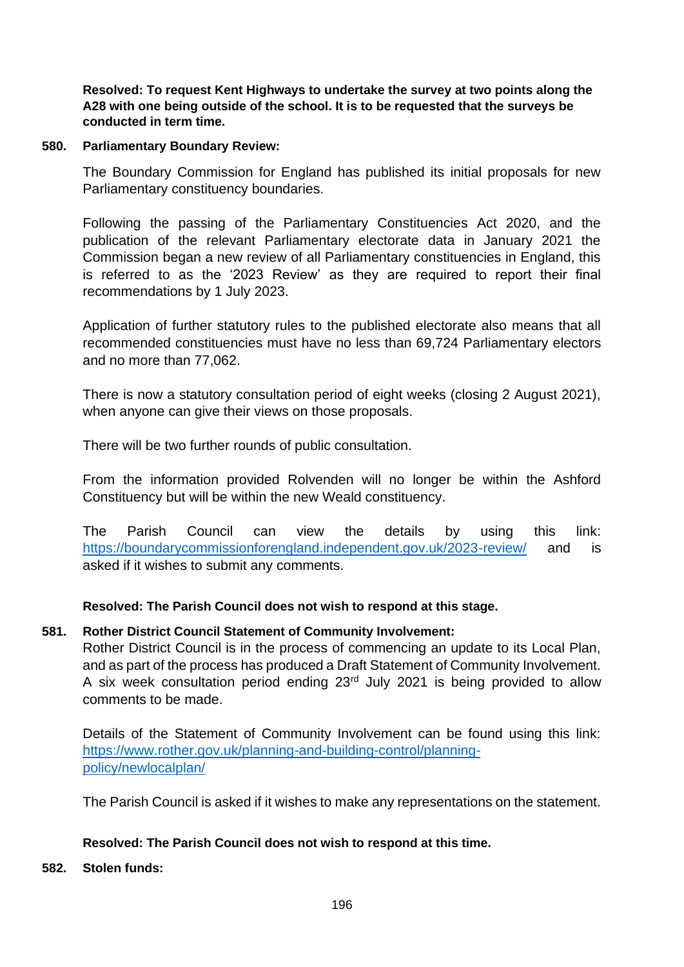**Resolved: To request Kent Highways to undertake the survey at two points along the A28 with one being outside of the school. It is to be requested that the surveys be conducted in term time.**

## **580. Parliamentary Boundary Review:**

The Boundary Commission for England has published its initial proposals for new Parliamentary constituency boundaries.

Following the passing of the Parliamentary Constituencies Act 2020, and the publication of the relevant Parliamentary electorate data in January 2021 the Commission began a new review of all Parliamentary constituencies in England, this is referred to as the '2023 Review' as they are required to report their final recommendations by 1 July 2023.

Application of further statutory rules to the published electorate also means that all recommended constituencies must have no less than 69,724 Parliamentary electors and no more than 77,062.

There is now a statutory consultation period of eight weeks (closing 2 August 2021), when anyone can give their views on those proposals.

There will be two further rounds of public consultation.

From the information provided Rolvenden will no longer be within the Ashford Constituency but will be within the new Weald constituency.

The Parish Council can view the details by using this link: <https://boundarycommissionforengland.independent.gov.uk/2023-review/> and is asked if it wishes to submit any comments.

# **Resolved: The Parish Council does not wish to respond at this stage.**

# **581. Rother District Council Statement of Community Involvement:**

Rother District Council is in the process of commencing an update to its Local Plan, and as part of the process has produced a Draft Statement of Community Involvement. A six week consultation period ending 23rd July 2021 is being provided to allow comments to be made.

Details of the Statement of Community Involvement can be found using this link: [https://www.rother.gov.uk/planning-and-building-control/planning](https://www.rother.gov.uk/planning-and-building-control/planning-policy/newlocalplan/)[policy/newlocalplan/](https://www.rother.gov.uk/planning-and-building-control/planning-policy/newlocalplan/)

The Parish Council is asked if it wishes to make any representations on the statement.

# **Resolved: The Parish Council does not wish to respond at this time.**

# **582. Stolen funds:**